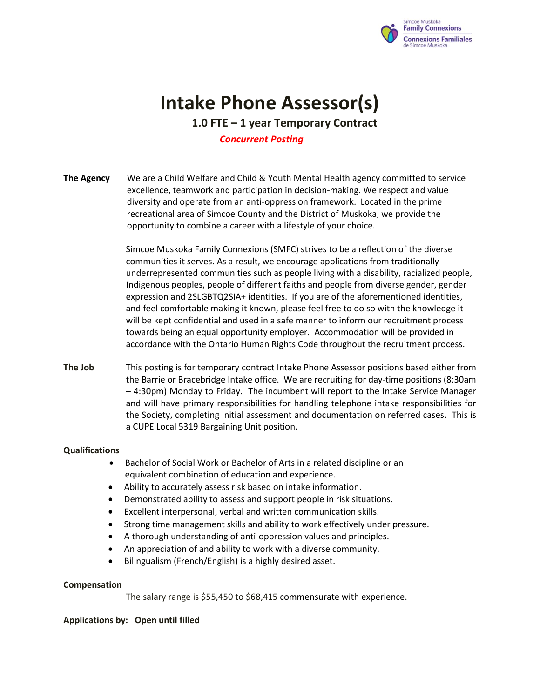

# **Intake Phone Assessor(s)**

**1.0 FTE – 1 year Temporary Contract**

## *Concurrent Posting*

**The Agency** We are a Child Welfare and Child & Youth Mental Health agency committed to service excellence, teamwork and participation in decision-making. We respect and value diversity and operate from an anti-oppression framework. Located in the prime recreational area of Simcoe County and the District of Muskoka, we provide the opportunity to combine a career with a lifestyle of your choice.

> Simcoe Muskoka Family Connexions (SMFC) strives to be a reflection of the diverse communities it serves. As a result, we encourage applications from traditionally underrepresented communities such as people living with a disability, racialized people, Indigenous peoples, people of different faiths and people from diverse gender, gender expression and 2SLGBTQ2SIA+ identities. If you are of the aforementioned identities, and feel comfortable making it known, please feel free to do so with the knowledge it will be kept confidential and used in a safe manner to inform our recruitment process towards being an equal opportunity employer. Accommodation will be provided in accordance with the Ontario Human Rights Code throughout the recruitment process.

**The Job** This posting is for temporary contract Intake Phone Assessor positions based either from the Barrie or Bracebridge Intake office. We are recruiting for day-time positions (8:30am – 4:30pm) Monday to Friday. The incumbent will report to the Intake Service Manager and will have primary responsibilities for handling telephone intake responsibilities for the Society, completing initial assessment and documentation on referred cases. This is a CUPE Local 5319 Bargaining Unit position.

#### **Qualifications**

- Bachelor of Social Work or Bachelor of Arts in a related discipline or an equivalent combination of education and experience.
- Ability to accurately assess risk based on intake information.
- Demonstrated ability to assess and support people in risk situations.
- Excellent interpersonal, verbal and written communication skills.
- Strong time management skills and ability to work effectively under pressure.
- A thorough understanding of anti-oppression values and principles.
- An appreciation of and ability to work with a diverse community.
- Bilingualism (French/English) is a highly desired asset.

#### **Compensation**

The salary range is \$55,450 to \$68,415 commensurate with experience.

# **Applications by: Open until filled**